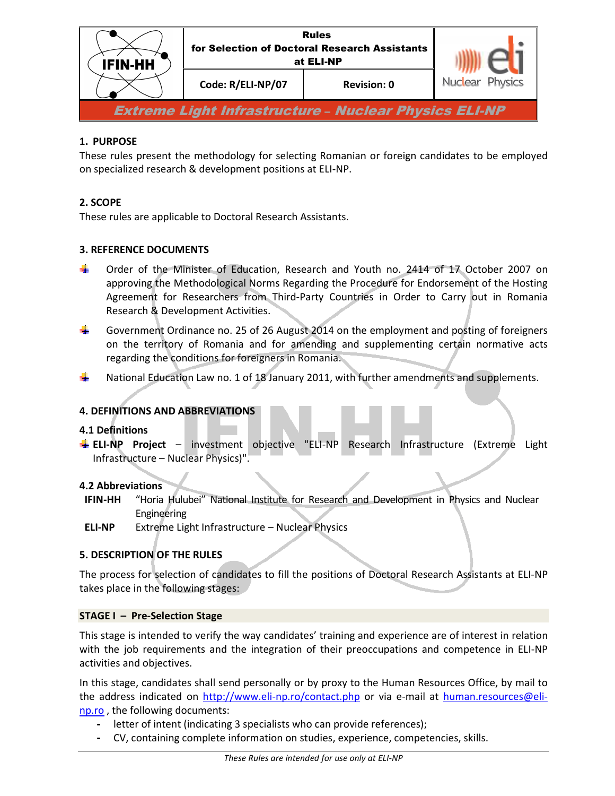

# **1. PURPOSE**

These rules present the methodology for selecting Romanian or foreign candidates to be employed on specialized research & development positions at ELI-NP.

## **2. SCOPE**

These rules are applicable to Doctoral Research Assistants.

## **3. REFERENCE DOCUMENTS**

- Order of the Minister of Education, Research and Youth no. 2414 of 17 October 2007 on approving the Methodological Norms Regarding the Procedure for Endorsement of the Hosting Agreement for Researchers from Third-Party Countries in Order to Carry out in Romania Research & Development Activities.
- ۳. Government Ordinance no. 25 of 26 August 2014 on the employment and posting of foreigners on the territory of Romania and for amending and supplementing certain normative acts regarding the conditions for foreigners in Romania.
- ۰. National Education Law no. 1 of 18 January 2011, with further amendments and supplements.

## **4. DEFINITIONS AND ABBREVIATIONS**

#### **4.1 Definitions**

**ELI-NP Project** – investment objective "ELI-NP Research Infrastructure (Extreme Light Infrastructure – Nuclear Physics)".

#### **4.2 Abbreviations**

- **IFIN-HH** "Horia Hulubei" National Institute for Research and Development in Physics and Nuclear Engineering
- **ELI-NP** Extreme Light Infrastructure Nuclear Physics

## **5. DESCRIPTION OF THE RULES**

The process for selection of candidates to fill the positions of Doctoral Research Assistants at ELI-NP takes place in the following stages:

#### **STAGE I – Pre-Selection Stage**

This stage is intended to verify the way candidates' training and experience are of interest in relation with the job requirements and the integration of their preoccupations and competence in ELI-NP activities and objectives.

In this stage, candidates shall send personally or by proxy to the Human Resources Office, by mail to the address indicated on http://www.eli-np.ro/contact.php or via e-mail at human.resources@elinp.ro , the following documents:

- letter of intent (indicating 3 specialists who can provide references);
- CV, containing complete information on studies, experience, competencies, skills.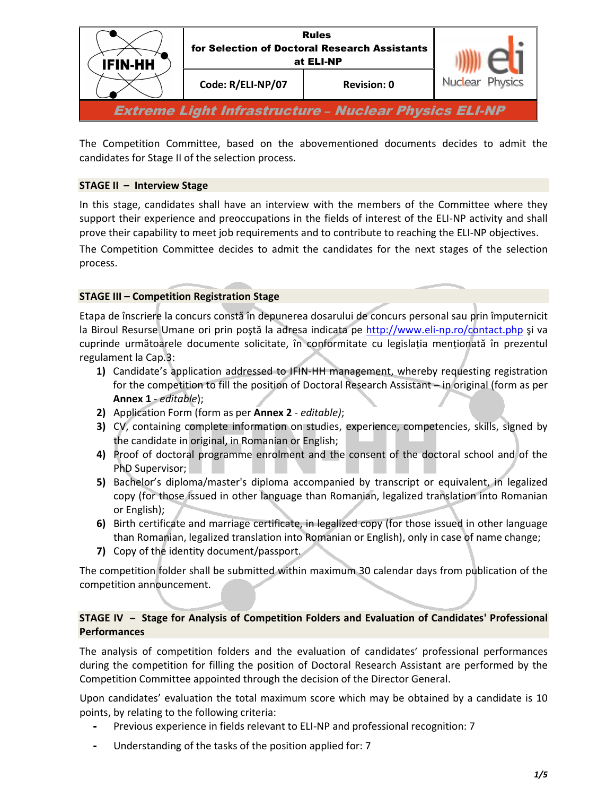

The Competition Committee, based on the abovementioned documents decides to admit the candidates for Stage II of the selection process.

## **STAGE II – Interview Stage**

In this stage, candidates shall have an interview with the members of the Committee where they support their experience and preoccupations in the fields of interest of the ELI-NP activity and shall prove their capability to meet job requirements and to contribute to reaching the ELI-NP objectives.

The Competition Committee decides to admit the candidates for the next stages of the selection process.

## **STAGE III – Competition Registration Stage**

Etapa de înscriere la concurs constă în depunerea dosarului de concurs personal sau prin împuternicit la Biroul Resurse Umane ori prin poştă la adresa indicata pe http://www.eli-np.ro/contact.php şi va cuprinde următoarele documente solicitate, în conformitate cu legislația menționată în prezentul regulament la Cap.3:

- **1)** Candidate's application addressed to IFIN-HH management, whereby requesting registration for the competition to fill the position of Doctoral Research Assistant – in original (form as per **Annex 1** - *editable*);
- **2)** Application Form (form as per **Annex 2** *editable)*;
- **3)** CV, containing complete information on studies, experience, competencies, skills, signed by the candidate in original, in Romanian or English;
- **4)** Proof of doctoral programme enrolment and the consent of the doctoral school and of the PhD Supervisor;
- **5)** Bachelor's diploma/master's diploma accompanied by transcript or equivalent, in legalized copy (for those issued in other language than Romanian, legalized translation into Romanian or English);
- **6)** Birth certificate and marriage certificate, in legalized copy (for those issued in other language than Romanian, legalized translation into Romanian or English), only in case of name change;
- **7)** Copy of the identity document/passport.

The competition folder shall be submitted within maximum 30 calendar days from publication of the competition announcement.

### **STAGE IV – Stage for Analysis of Competition Folders and Evaluation of Candidates' Professional Performances**

The analysis of competition folders and the evaluation of candidates' professional performances during the competition for filling the position of Doctoral Research Assistant are performed by the Competition Committee appointed through the decision of the Director General.

Upon candidates' evaluation the total maximum score which may be obtained by a candidate is 10 points, by relating to the following criteria:

- Previous experience in fields relevant to ELI-NP and professional recognition: 7
- Understanding of the tasks of the position applied for: 7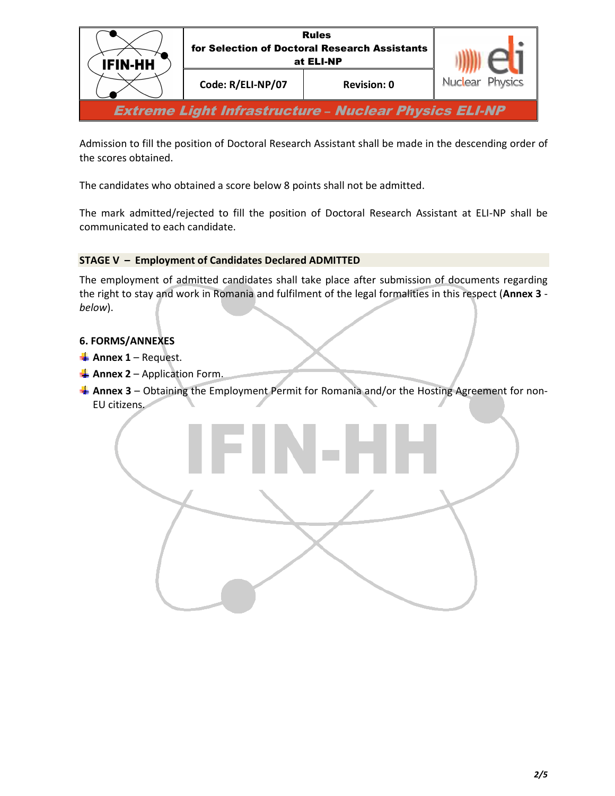

Admission to fill the position of Doctoral Research Assistant shall be made in the descending order of the scores obtained.

The candidates who obtained a score below 8 points shall not be admitted.

The mark admitted/rejected to fill the position of Doctoral Research Assistant at ELI-NP shall be communicated to each candidate.

# **STAGE V – Employment of Candidates Declared ADMITTED**

The employment of admitted candidates shall take place after submission of documents regarding the right to stay and work in Romania and fulfilment of the legal formalities in this respect (**Annex 3**  *below*).

## **6. FORMS/ANNEXES**

- **Annex 1** Request.
- **Annex 2** Application Form.
- **Annex 3** Obtaining the Employment Permit for Romania and/or the Hosting Agreement for non-EU citizens.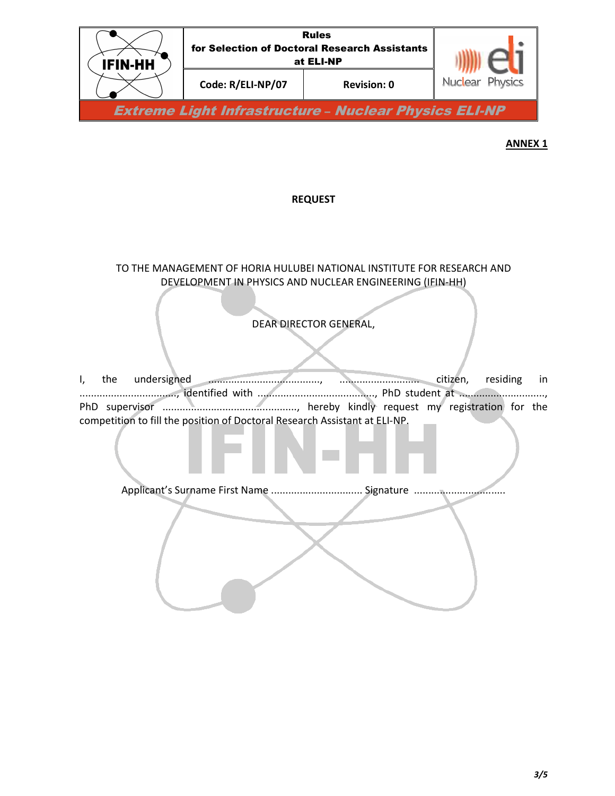

**ANNEX 1** 

## **REQUEST**

TO THE MANAGEMENT OF HORIA HULUBEI NATIONAL INSTITUTE FOR RESEARCH AND DEVELOPMENT IN PHYSICS AND NUCLEAR ENGINEERING (IFIN-HH)

# DEAR DIRECTOR GENERAL,

Ì

l I, the undersigned ......................................., ............................ citizen, residing in .................................., identified with ........................................., PhD student at .............................., PhD supervisor ..............................................., hereby kindly request my registration for the competition to fill the position of Doctoral Research Assistant at ELI-NP.

֚֚֚֬ Applicant's Surname First Name ................................. Signature ...................................

I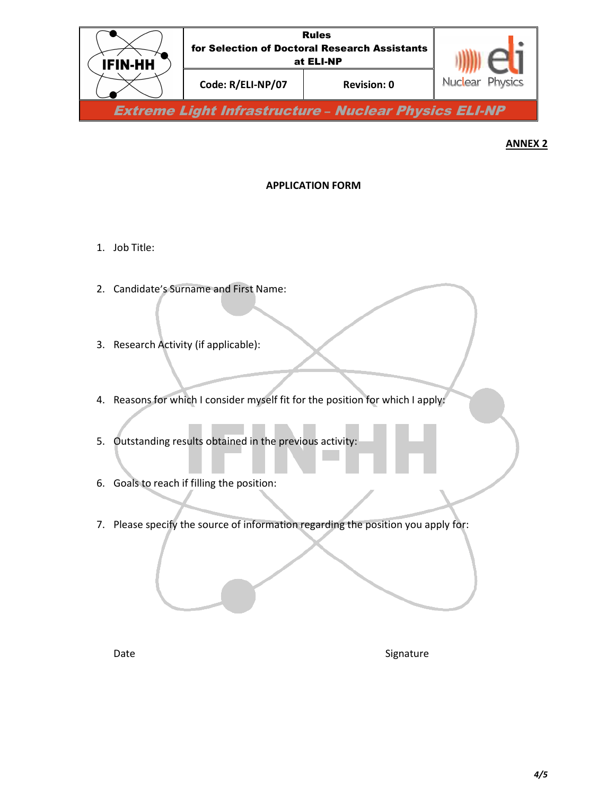

# **ANNEX 2**

# **APPLICATION FORM**

- 1. Job Title:
- 2. Candidate's Surname and First Name:
- 3. Research Activity (if applicable):
- 4. Reasons for which I consider myself fit for the position for which I apply:
- 5. Outstanding results obtained in the previous activity:
- 6. Goals to reach if filling the position:
- 7. Please specify the source of information regarding the position you apply for:

Date Signature Signature